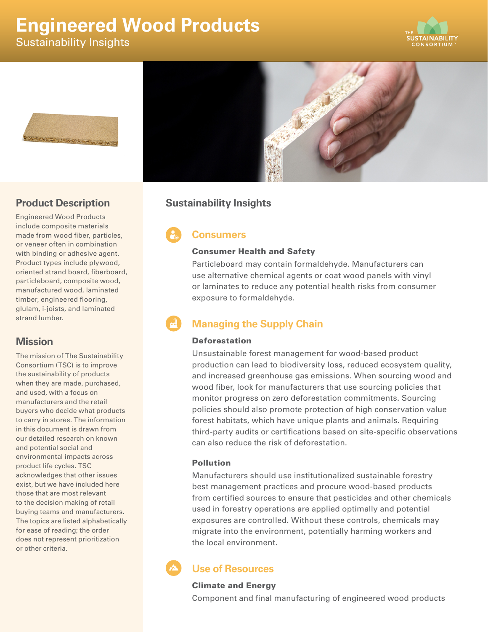# **Engineered Wood Products**

Sustainability Insights







### **Product Description**

Engineered Wood Products include composite materials made from wood fiber, particles, or veneer often in combination with binding or adhesive agent. Product types include plywood, oriented strand board, fiberboard, particleboard, composite wood, manufactured wood, laminated timber, engineered flooring, glulam, i-joists, and laminated strand lumber.

### **Mission**

The mission of The Sustainability Consortium (TSC) is to improve the sustainability of products when they are made, purchased, and used, with a focus on manufacturers and the retail buyers who decide what products to carry in stores. The information in this document is drawn from our detailed research on known and potential social and environmental impacts across product life cycles. TSC acknowledges that other issues exist, but we have included here those that are most relevant to the decision making of retail buying teams and manufacturers. The topics are listed alphabetically for ease of reading; the order does not represent prioritization or other criteria.

## **Sustainability Insights**

# **Consumers**

#### Consumer Health and Safety

Particleboard may contain formaldehyde. Manufacturers can use alternative chemical agents or coat wood panels with vinyl or laminates to reduce any potential health risks from consumer exposure to formaldehyde.

# **Managing the Supply Chain**

#### Deforestation

Unsustainable forest management for wood-based product production can lead to biodiversity loss, reduced ecosystem quality, and increased greenhouse gas emissions. When sourcing wood and wood fiber, look for manufacturers that use sourcing policies that monitor progress on zero deforestation commitments. Sourcing policies should also promote protection of high conservation value forest habitats, which have unique plants and animals. Requiring third-party audits or certifications based on site-specific observations can also reduce the risk of deforestation.

#### Pollution

Manufacturers should use institutionalized sustainable forestry best management practices and procure wood-based products from certified sources to ensure that pesticides and other chemicals used in forestry operations are applied optimally and potential exposures are controlled. Without these controls, chemicals may migrate into the environment, potentially harming workers and the local environment.

# **Use of Resources**

#### Climate and Energy

Component and final manufacturing of engineered wood products